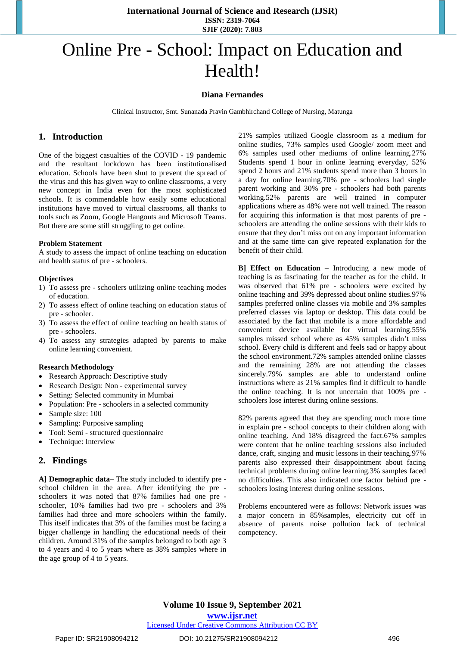**International Journal of Science and Research (IJSR) ISSN: 2319-7064 SJIF (2020): 7.803**

# Online Pre - School: Impact on Education and Health!

### **Diana Fernandes**

Clinical Instructor, Smt. Sunanada Pravin Gambhirchand College of Nursing, Matunga

### **1. Introduction**

One of the biggest casualties of the [COVID -](https://indianexpress.com/about/coronavirus/) 19 [pandemic](https://indianexpress.com/article/explained/pandemic-explained-who-novel-coronavirus-covid19-what-is-a-pandemic-6309727/) and the resultant lockdown has been institutionalised education. Schools have been shut to prevent the spread of the virus and this has given way to online classrooms, a very new concept in India even for the most sophisticated schools. It is commendable how easily some educational institutions have moved to virtual classrooms, all thanks to tools such as Zoom, [Google](https://indianexpress.com/about/google/) Hangouts and [Microsoft](https://indianexpress.com/about/microsoft/) Teams. But there are some still struggling to get online.

### **Problem Statement**

A study to assess the impact of online teaching on education and health status of pre - schoolers.

### **Objectives**

- 1) To assess pre schoolers utilizing online teaching modes of education.
- 2) To assess effect of online teaching on education status of pre - schooler.
- 3) To assess the effect of online teaching on health status of pre - schoolers.
- 4) To assess any strategies adapted by parents to make online learning convenient.

### **Research Methodology**

- Research Approach: Descriptive study
- Research Design: Non experimental survey
- Setting: Selected community in Mumbai
- Population: Pre schoolers in a selected community
- Sample size: 100
- Sampling: Purposive sampling
- Tool: Semi structured questionnaire
- Technique: Interview

### **2. Findings**

**A] Demographic data**– The study included to identify pre school children in the area. After identifying the pre schoolers it was noted that 87% families had one pre schooler, 10% families had two pre - schoolers and 3% families had three and more schoolers within the family. This itself indicates that 3% of the families must be facing a bigger challenge in handling the educational needs of their children. Around 31% of the samples belonged to both age 3 to 4 years and 4 to 5 years where as 38% samples where in the age group of 4 to 5 years.

21% samples utilized Google classroom as a medium for online studies, 73% samples used Google/ zoom meet and 6% samples used other mediums of online learning.27% Students spend 1 hour in online learning everyday, 52% spend 2 hours and 21% students spend more than 3 hours in a day for online learning.70% pre - schoolers had single parent working and 30% pre - schoolers had both parents working.52% parents are well trained in computer applications where as 48% were not well trained. The reason for acquiring this information is that most parents of pre schoolers are attending the online sessions with their kids to ensure that they don't miss out on any important information and at the same time can give repeated explanation for the benefit of their child.

**B] Effect on Education** – Introducing a new mode of teaching is as fascinating for the teacher as for the child. It was observed that 61% pre - schoolers were excited by online teaching and 39% depressed about online studies.97% samples preferred online classes via mobile and 3% samples preferred classes via laptop or desktop. This data could be associated by the fact that mobile is a more affordable and convenient device available for virtual learning.55% samples missed school where as 45% samples didn't miss school. Every child is different and feels sad or happy about the school environment.72% samples attended online classes and the remaining 28% are not attending the classes sincerely.79% samples are able to understand online instructions where as 21% samples find it difficult to handle the online teaching. It is not uncertain that 100% pre schoolers lose interest during online sessions.

82% parents agreed that they are spending much more time in explain pre - school concepts to their children along with online teaching. And 18% disagreed the fact.67% samples were content that he online teaching sessions also included dance, craft, singing and music lessons in their teaching.97% parents also expressed their disappointment about facing technical problems during online learning.3% samples faced no difficulties. This also indicated one factor behind pre schoolers losing interest during online sessions.

Problems encountered were as follows: Network issues was a major concern in 85%samples, electricity cut off in absence of parents noise pollution lack of technical competency.

# **Volume 10 Issue 9, September 2021**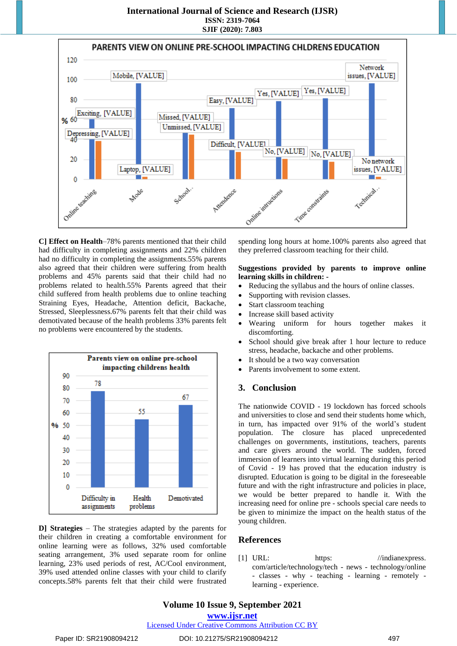

**C] Effect on Health**–78% parents mentioned that their child had difficulty in completing assignments and 22% children had no difficulty in completing the assignments.55% parents also agreed that their children were suffering from health problems and 45% parents said that their child had no problems related to health.55% Parents agreed that their child suffered from health problems due to online teaching Straining Eyes, Headache, Attention deficit, Backache, Stressed, Sleeplessness.67% parents felt that their child was demotivated because of the health problems 33% parents felt no problems were encountered by the students.



**D] Strategies** – The strategies adapted by the parents for their children in creating a comfortable environment for online learning were as follows, 32% used comfortable seating arrangement, 3% used separate room for online learning, 23% used periods of rest, AC/Cool environment, 39% used attended online classes with your child to clarify concepts.58% parents felt that their child were frustrated spending long hours at home.100% parents also agreed that they preferred classroom teaching for their child.

### **Suggestions provided by parents to improve online learning skills in children: -**

- Reducing the syllabus and the hours of online classes.
- Supporting with revision classes.
- Start classroom teaching
- Increase skill based activity
- Wearing uniform for hours together makes it discomforting.
- School should give break after 1 hour lecture to reduce stress, headache, backache and other problems.
- It should be a two way conversation
- Parents involvement to some extent.

# **3. Conclusion**

The nationwide COVID - 19 lockdown has forced schools and universities to close and send their students home which, in turn, has impacted over 91% of the world's student population. The closure has placed unprecedented challenges on governments, institutions, teachers, parents and care givers around the world. The sudden, forced immersion of learners into virtual learning during this period of Covid - 19 has proved that the education industry is disrupted. Education is going to be digital in the foreseeable future and with the right infrastructure and policies in place, we would be better prepared to handle it. With the increasing need for online pre - schools special care needs to be given to minimize the impact on the health status of the young children.

# **References**

[1] URL: https: //indianexpress. [com/article/technology/tech](https://indianexpress.com/article/technology/tech-news-technology/online-classes-why-teaching-learning-remotely-learning-experience.) - news - technology/online - classes - why - teaching - learning - [remotely](https://indianexpress.com/article/technology/tech-news-technology/online-classes-why-teaching-learning-remotely-learning-experience.) learning - [experience.](https://indianexpress.com/article/technology/tech-news-technology/online-classes-why-teaching-learning-remotely-learning-experience.) 

# Licensed Under Creative Commons Attribution CC BY